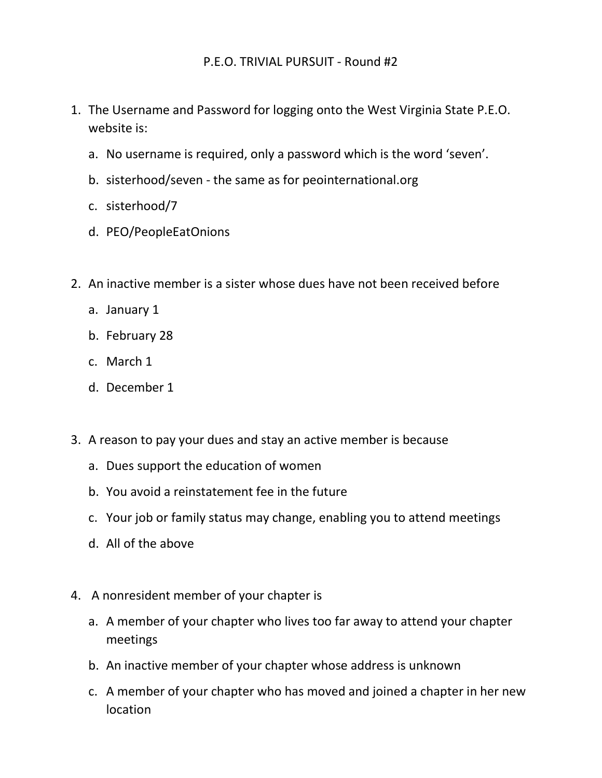- 1. The Username and Password for logging onto the West Virginia State P.E.O. website is:
	- a. No username is required, only a password which is the word 'seven'.
	- b. sisterhood/seven the same as for peointernational.org
	- c. sisterhood/7
	- d. PEO/PeopleEatOnions
- 2. An inactive member is a sister whose dues have not been received before
	- a. January 1
	- b. February 28
	- c. March 1
	- d. December 1
- 3. A reason to pay your dues and stay an active member is because
	- a. Dues support the education of women
	- b. You avoid a reinstatement fee in the future
	- c. Your job or family status may change, enabling you to attend meetings
	- d. All of the above
- 4. A nonresident member of your chapter is
	- a. A member of your chapter who lives too far away to attend your chapter meetings
	- b. An inactive member of your chapter whose address is unknown
	- c. A member of your chapter who has moved and joined a chapter in her new location